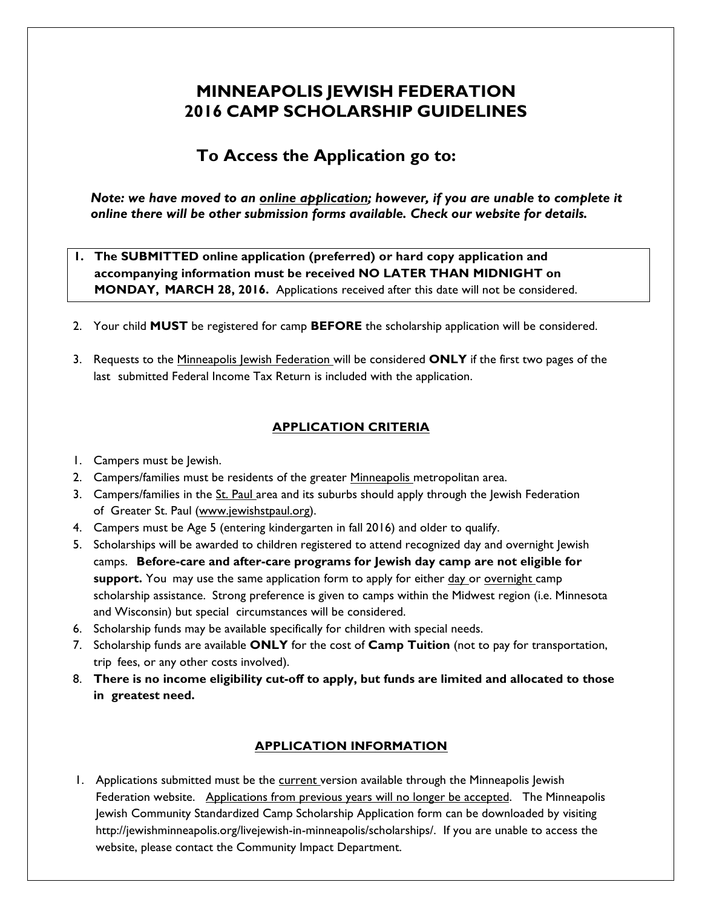# **MINNEAPOLIS JEWISH FEDERATION 2016 CAMP SCHOLARSHIP GUIDELINES**

## **To Access the Application go to:**

*Note: we have moved to an online application; however, if you are unable to complete it online there will be other submission forms available. Check our website for details.*

### **1. The SUBMITTED online application (preferred) or hard copy application and accompanying information must be received NO LATER THAN MIDNIGHT on MONDAY, MARCH 28, 2016.** Applications received after this date will not be considered.

- 2. Your child **MUST** be registered for camp **BEFORE** the scholarship application will be considered.
- 3. Requests to the Minneapolis Jewish Federation will be considered **ONLY** if the first two pages of the last submitted Federal Income Tax Return is included with the application.

## **APPLICATION CRITERIA**

- 1. Campers must be Jewish.
- 2. Campers/families must be residents of the greater Minneapolis metropolitan area.
- 3. Campers/families in the St. Paul area and its suburbs should apply through the Jewish Federation of Greater St. Paul (www.jewishstpaul.org).
- 4. Campers must be Age 5 (entering kindergarten in fall 2016) and older to qualify.
- 5. Scholarships will be awarded to children registered to attend recognized day and overnight Jewish camps. **Before-care and after-care programs for Jewish day camp are not eligible for support.** You may use the same application form to apply for either day or overnight camp scholarship assistance. Strong preference is given to camps within the Midwest region (i.e. Minnesota and Wisconsin) but special circumstances will be considered.
- 6. Scholarship funds may be available specifically for children with special needs.
- 7. Scholarship funds are available **ONLY** for the cost of **Camp Tuition** (not to pay for transportation, trip fees, or any other costs involved).
- 8. **There is no income eligibility cut-off to apply, but funds are limited and allocated to those in greatest need.**

### **APPLICATION INFORMATION**

1. Applications submitted must be the current version available through the Minneapolis Jewish Federation website. Applications from previous years will no longer be accepted. The Minneapolis Jewish Community Standardized Camp Scholarship Application form can be downloaded by visiting http://jewishminneapolis.org/livejewish-in-minneapolis/scholarships/. If you are unable to access the website, please contact the Community Impact Department.